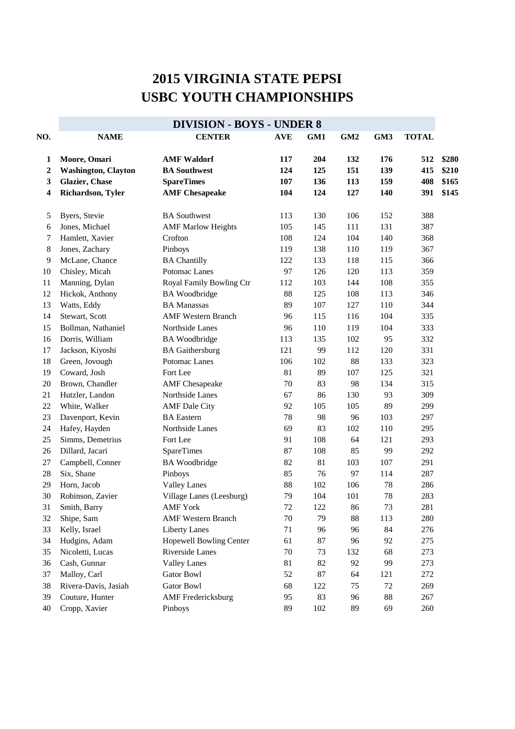## **2015 VIRGINIA STATE PEPSI USBC YOUTH CHAMPIONSHIPS**

|                  | <b>DIVISION - BOYS - UNDER 8</b> |                           |            |     |     |     |              |       |  |  |
|------------------|----------------------------------|---------------------------|------------|-----|-----|-----|--------------|-------|--|--|
| NO.              | <b>NAME</b>                      | <b>CENTER</b>             | <b>AVE</b> | GM1 | GM2 | GM3 | <b>TOTAL</b> |       |  |  |
| 1                | Moore, Omari                     | <b>AMF Waldorf</b>        | 117        | 204 | 132 | 176 | 512          | \$280 |  |  |
| $\boldsymbol{2}$ | <b>Washington, Clayton</b>       | <b>BA Southwest</b>       | 124        | 125 | 151 | 139 | 415          | \$210 |  |  |
| 3                | <b>Glazier</b> , Chase           | <b>SpareTimes</b>         | 107        | 136 | 113 | 159 | 408          | \$165 |  |  |
| 4                | Richardson, Tyler                | <b>AMF</b> Chesapeake     | 104        | 124 | 127 | 140 | 391          | \$145 |  |  |
| 5                | Byers, Stevie                    | <b>BA</b> Southwest       | 113        | 130 | 106 | 152 | 388          |       |  |  |
| 6                | Jones, Michael                   | <b>AMF Marlow Heights</b> | 105        | 145 | 111 | 131 | 387          |       |  |  |
| 7                | Hamlett, Xavier                  | Crofton                   | 108        | 124 | 104 | 140 | 368          |       |  |  |
| $\,8\,$          | Jones, Zachary                   | Pinboys                   | 119        | 138 | 110 | 119 | 367          |       |  |  |
| 9                | McLane, Chance                   | <b>BA Chantilly</b>       | 122        | 133 | 118 | 115 | 366          |       |  |  |
| 10               | Chisley, Micah                   | Potomac Lanes             | 97         | 126 | 120 | 113 | 359          |       |  |  |
| 11               | Manning, Dylan                   | Royal Family Bowling Ctr  | 112        | 103 | 144 | 108 | 355          |       |  |  |
| 12               | Hickok, Anthony                  | <b>BA</b> Woodbridge      | 88         | 125 | 108 | 113 | 346          |       |  |  |
| 13               | Watts, Eddy                      | <b>BA Manassas</b>        | 89         | 107 | 127 | 110 | 344          |       |  |  |
| 14               | Stewart, Scott                   | <b>AMF Western Branch</b> | 96         | 115 | 116 | 104 | 335          |       |  |  |
| 15               | Bollman, Nathaniel               | Northside Lanes           | 96         | 110 | 119 | 104 | 333          |       |  |  |
| 16               | Dorris, William                  | <b>BA</b> Woodbridge      | 113        | 135 | 102 | 95  | 332          |       |  |  |
| 17               | Jackson, Kiyoshi                 | <b>BA</b> Gaithersburg    | 121        | 99  | 112 | 120 | 331          |       |  |  |
| 18               | Green, Jovough                   | Potomac Lanes             | 106        | 102 | 88  | 133 | 323          |       |  |  |
| 19               | Coward, Josh                     | Fort Lee                  | 81         | 89  | 107 | 125 | 321          |       |  |  |
| 20               | Brown, Chandler                  | <b>AMF</b> Chesapeake     | 70         | 83  | 98  | 134 | 315          |       |  |  |
| 21               | Hutzler, Landon                  | Northside Lanes           | 67         | 86  | 130 | 93  | 309          |       |  |  |
| 22               | White, Walker                    | <b>AMF</b> Dale City      | 92         | 105 | 105 | 89  | 299          |       |  |  |
| 23               | Davenport, Kevin                 | <b>BA</b> Eastern         | 78         | 98  | 96  | 103 | 297          |       |  |  |
| 24               | Hafey, Hayden                    | Northside Lanes           | 69         | 83  | 102 | 110 | 295          |       |  |  |
| 25               | Simms, Demetrius                 | Fort Lee                  | 91         | 108 | 64  | 121 | 293          |       |  |  |
| 26               | Dillard, Jacari                  | <b>SpareTimes</b>         | 87         | 108 | 85  | 99  | 292          |       |  |  |
| $27\,$           | Campbell, Conner                 | <b>BA</b> Woodbridge      | 82         | 81  | 103 | 107 | 291          |       |  |  |
| $28\,$           | Six, Shane                       | Pinboys                   | 85         | 76  | 97  | 114 | 287          |       |  |  |
| 29               | Horn, Jacob                      | <b>Valley Lanes</b>       | 88         | 102 | 106 | 78  | 286          |       |  |  |
| 30               | Robinson, Zavier                 | Village Lanes (Leesburg)  | 79         | 104 | 101 | 78  | 283          |       |  |  |
| 31               | Smith, Barry                     | <b>AMF York</b>           | 72         | 122 | 86  | 73  | 281          |       |  |  |
| 32               | Shipe, Sam                       | <b>AMF Western Branch</b> | 70         | 79  | 88  | 113 | 280          |       |  |  |
| 33               | Kelly, Israel                    | <b>Liberty Lanes</b>      | 71         | 96  | 96  | 84  | 276          |       |  |  |
| 34               | Hudgins, Adam                    | Hopewell Bowling Center   | 61         | 87  | 96  | 92  | 275          |       |  |  |
| 35               | Nicoletti, Lucas                 | Riverside Lanes           | 70         | 73  | 132 | 68  | 273          |       |  |  |
| 36               | Cash, Gunnar                     | <b>Valley Lanes</b>       | 81         | 82  | 92  | 99  | 273          |       |  |  |
| 37               | Malloy, Carl                     | <b>Gator Bowl</b>         | 52         | 87  | 64  | 121 | 272          |       |  |  |
| 38               | Rivera-Davis, Jasiah             | <b>Gator Bowl</b>         | 68         | 122 | 75  | 72  | 269          |       |  |  |
| 39               | Couture, Hunter                  | <b>AMF</b> Fredericksburg | 95         | 83  | 96  | 88  | 267          |       |  |  |
| 40               | Cropp, Xavier                    | Pinboys                   | 89         | 102 | 89  | 69  | 260          |       |  |  |